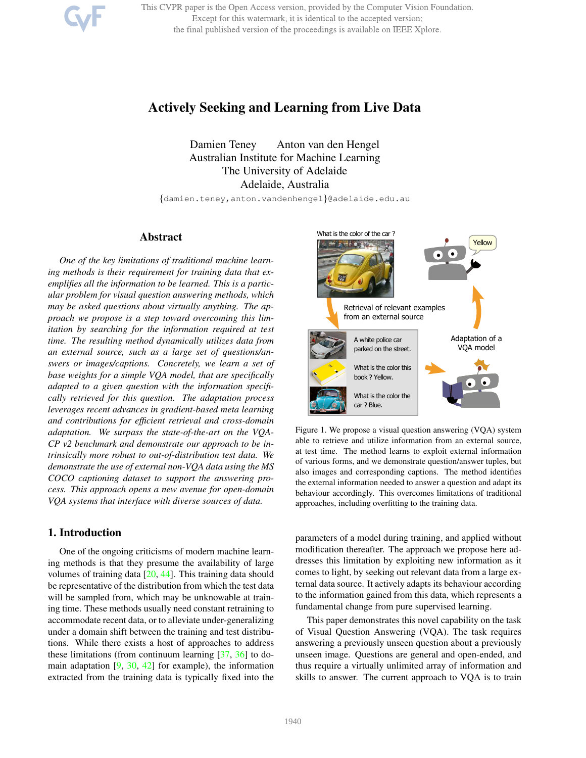This CVPR paper is the Open Access version, provided by the Computer Vision Foundation. Except for this watermark, it is identical to the accepted version; the final published version of the proceedings is available on IEEE Xplore.

# Actively Seeking and Learning from Live Data

Damien Teney Anton van den Hengel Australian Institute for Machine Learning The University of Adelaide Adelaide, Australia

{damien.teney,anton.vandenhengel}@adelaide.edu.au

#### Abstract

*One of the key limitations of traditional machine learning methods is their requirement for training data that exemplifies all the information to be learned. This is a particular problem for visual question answering methods, which may be asked questions about virtually anything. The approach we propose is a step toward overcoming this limitation by searching for the information required at test time. The resulting method dynamically utilizes data from an external source, such as a large set of questions/answers or images/captions. Concretely, we learn a set of base weights for a simple VQA model, that are specifically adapted to a given question with the information specifically retrieved for this question. The adaptation process leverages recent advances in gradient-based meta learning and contributions for efficient retrieval and cross-domain adaptation. We surpass the state-of-the-art on the VQA-CP v2 benchmark and demonstrate our approach to be intrinsically more robust to out-of-distribution test data. We demonstrate the use of external non-VQA data using the MS COCO captioning dataset to support the answering process. This approach opens a new avenue for open-domain VQA systems that interface with diverse sources of data.*

#### 1. Introduction

One of the ongoing criticisms of modern machine learning methods is that they presume the availability of large volumes of training data [20, 44]. This training data should be representative of the distribution from which the test data will be sampled from, which may be unknowable at training time. These methods usually need constant retraining to accommodate recent data, or to alleviate under-generalizing under a domain shift between the training and test distributions. While there exists a host of approaches to address these limitations (from continuum learning [37, 36] to domain adaptation  $[9, 30, 42]$  for example), the information extracted from the training data is typically fixed into the



Figure 1. We propose a visual question answering (VQA) system able to retrieve and utilize information from an external source, at test time. The method learns to exploit external information of various forms, and we demonstrate question/answer tuples, but also images and corresponding captions. The method identifies the external information needed to answer a question and adapt its behaviour accordingly. This overcomes limitations of traditional approaches, including overfitting to the training data.

parameters of a model during training, and applied without modification thereafter. The approach we propose here addresses this limitation by exploiting new information as it comes to light, by seeking out relevant data from a large external data source. It actively adapts its behaviour according to the information gained from this data, which represents a fundamental change from pure supervised learning.

This paper demonstrates this novel capability on the task of Visual Question Answering (VQA). The task requires answering a previously unseen question about a previously unseen image. Questions are general and open-ended, and thus require a virtually unlimited array of information and skills to answer. The current approach to VQA is to train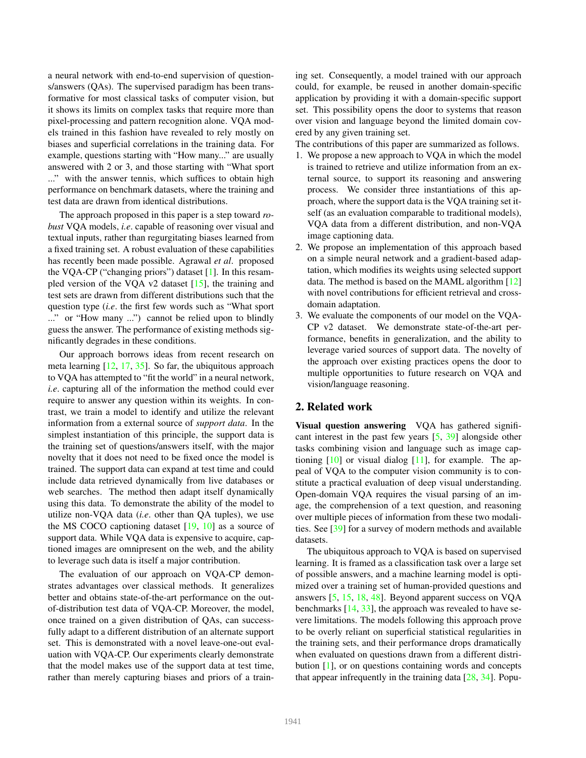a neural network with end-to-end supervision of questions/answers (QAs). The supervised paradigm has been transformative for most classical tasks of computer vision, but it shows its limits on complex tasks that require more than pixel-processing and pattern recognition alone. VQA models trained in this fashion have revealed to rely mostly on biases and superficial correlations in the training data. For example, questions starting with "How many..." are usually answered with 2 or 3, and those starting with "What sport ..." with the answer tennis, which suffices to obtain high performance on benchmark datasets, where the training and test data are drawn from identical distributions.

The approach proposed in this paper is a step toward *robust* VQA models, *i.e*. capable of reasoning over visual and textual inputs, rather than regurgitating biases learned from a fixed training set. A robust evaluation of these capabilities has recently been made possible. Agrawal *et al*. proposed the VQA-CP ("changing priors") dataset [1]. In this resampled version of the VQA v2 dataset [15], the training and test sets are drawn from different distributions such that the question type (*i.e*. the first few words such as "What sport ..." or "How many ...") cannot be relied upon to blindly guess the answer. The performance of existing methods significantly degrades in these conditions.

Our approach borrows ideas from recent research on meta learning [12, 17, 35]. So far, the ubiquitous approach to VQA has attempted to "fit the world" in a neural network, *i.e*. capturing all of the information the method could ever require to answer any question within its weights. In contrast, we train a model to identify and utilize the relevant information from a external source of *support data*. In the simplest instantiation of this principle, the support data is the training set of questions/answers itself, with the major novelty that it does not need to be fixed once the model is trained. The support data can expand at test time and could include data retrieved dynamically from live databases or web searches. The method then adapt itself dynamically using this data. To demonstrate the ability of the model to utilize non-VQA data (*i.e*. other than QA tuples), we use the MS COCO captioning dataset  $[19, 10]$  as a source of support data. While VQA data is expensive to acquire, captioned images are omnipresent on the web, and the ability to leverage such data is itself a major contribution.

The evaluation of our approach on VQA-CP demonstrates advantages over classical methods. It generalizes better and obtains state-of-the-art performance on the outof-distribution test data of VQA-CP. Moreover, the model, once trained on a given distribution of QAs, can successfully adapt to a different distribution of an alternate support set. This is demonstrated with a novel leave-one-out evaluation with VQA-CP. Our experiments clearly demonstrate that the model makes use of the support data at test time, rather than merely capturing biases and priors of a training set. Consequently, a model trained with our approach could, for example, be reused in another domain-specific application by providing it with a domain-specific support set. This possibility opens the door to systems that reason over vision and language beyond the limited domain covered by any given training set.

The contributions of this paper are summarized as follows.

- 1. We propose a new approach to VQA in which the model is trained to retrieve and utilize information from an external source, to support its reasoning and answering process. We consider three instantiations of this approach, where the support data is the VQA training set itself (as an evaluation comparable to traditional models), VQA data from a different distribution, and non-VQA image captioning data.
- 2. We propose an implementation of this approach based on a simple neural network and a gradient-based adaptation, which modifies its weights using selected support data. The method is based on the MAML algorithm [12] with novel contributions for efficient retrieval and crossdomain adaptation.
- 3. We evaluate the components of our model on the VQA-CP v2 dataset. We demonstrate state-of-the-art performance, benefits in generalization, and the ability to leverage varied sources of support data. The novelty of the approach over existing practices opens the door to multiple opportunities to future research on VQA and vision/language reasoning.

### 2. Related work

Visual question answering VQA has gathered significant interest in the past few years [5, 39] alongside other tasks combining vision and language such as image captioning  $[10]$  or visual dialog  $[11]$ , for example. The appeal of VQA to the computer vision community is to constitute a practical evaluation of deep visual understanding. Open-domain VQA requires the visual parsing of an image, the comprehension of a text question, and reasoning over multiple pieces of information from these two modalities. See [39] for a survey of modern methods and available datasets.

The ubiquitous approach to VQA is based on supervised learning. It is framed as a classification task over a large set of possible answers, and a machine learning model is optimized over a training set of human-provided questions and answers [5, 15, 18, 48]. Beyond apparent success on VQA benchmarks  $[14, 33]$ , the approach was revealed to have severe limitations. The models following this approach prove to be overly reliant on superficial statistical regularities in the training sets, and their performance drops dramatically when evaluated on questions drawn from a different distribution [1], or on questions containing words and concepts that appear infrequently in the training data  $[28, 34]$ . Popu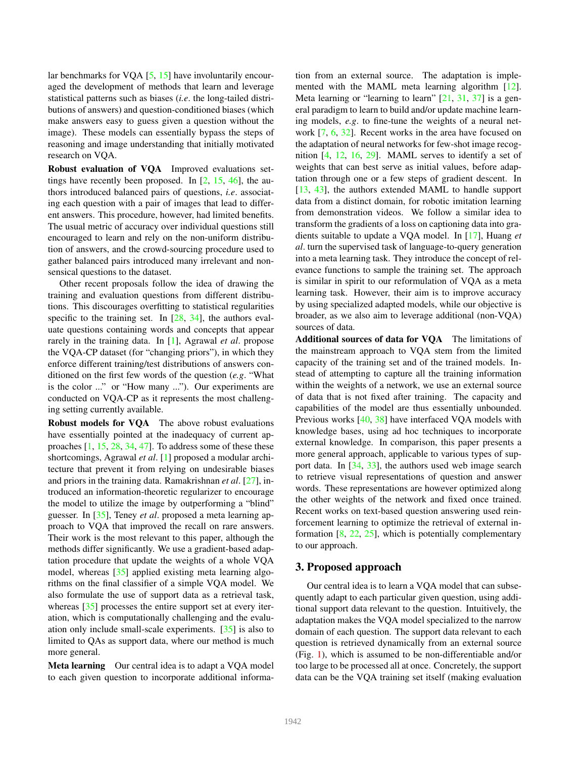lar benchmarks for VOA [5, 15] have involuntarily encouraged the development of methods that learn and leverage statistical patterns such as biases (*i.e*. the long-tailed distributions of answers) and question-conditioned biases (which make answers easy to guess given a question without the image). These models can essentially bypass the steps of reasoning and image understanding that initially motivated research on VQA.

Robust evaluation of VQA Improved evaluations settings have recently been proposed. In  $[2, 15, 46]$ , the authors introduced balanced pairs of questions, *i.e*. associating each question with a pair of images that lead to different answers. This procedure, however, had limited benefits. The usual metric of accuracy over individual questions still encouraged to learn and rely on the non-uniform distribution of answers, and the crowd-sourcing procedure used to gather balanced pairs introduced many irrelevant and nonsensical questions to the dataset.

Other recent proposals follow the idea of drawing the training and evaluation questions from different distributions. This discourages overfitting to statistical regularities specific to the training set. In  $[28, 34]$ , the authors evaluate questions containing words and concepts that appear rarely in the training data. In [1], Agrawal *et al*. propose the VQA-CP dataset (for "changing priors"), in which they enforce different training/test distributions of answers conditioned on the first few words of the question (*e.g*. "What is the color ..." or "How many ..."). Our experiments are conducted on VQA-CP as it represents the most challenging setting currently available.

Robust models for VQA The above robust evaluations have essentially pointed at the inadequacy of current approaches  $[1, 15, 28, 34, 47]$ . To address some of these these shortcomings, Agrawal *et al*. [1] proposed a modular architecture that prevent it from relying on undesirable biases and priors in the training data. Ramakrishnan *et al*. [27], introduced an information-theoretic regularizer to encourage the model to utilize the image by outperforming a "blind" guesser. In [35], Teney *et al*. proposed a meta learning approach to VQA that improved the recall on rare answers. Their work is the most relevant to this paper, although the methods differ significantly. We use a gradient-based adaptation procedure that update the weights of a whole VQA model, whereas [35] applied existing meta learning algorithms on the final classifier of a simple VQA model. We also formulate the use of support data as a retrieval task, whereas [35] processes the entire support set at every iteration, which is computationally challenging and the evaluation only include small-scale experiments. [35] is also to limited to QAs as support data, where our method is much more general.

Meta learning Our central idea is to adapt a VQA model to each given question to incorporate additional information from an external source. The adaptation is implemented with the MAML meta learning algorithm [12]. Meta learning or "learning to learn" [21, 31, 37] is a general paradigm to learn to build and/or update machine learning models, *e.g*. to fine-tune the weights of a neural network [7, 6, 32]. Recent works in the area have focused on the adaptation of neural networks for few-shot image recognition [4, 12, 16, 29]. MAML serves to identify a set of weights that can best serve as initial values, before adaptation through one or a few steps of gradient descent. In [13, 43], the authors extended MAML to handle support data from a distinct domain, for robotic imitation learning from demonstration videos. We follow a similar idea to transform the gradients of a loss on captioning data into gradients suitable to update a VQA model. In [17], Huang *et al*. turn the supervised task of language-to-query generation into a meta learning task. They introduce the concept of relevance functions to sample the training set. The approach is similar in spirit to our reformulation of VQA as a meta learning task. However, their aim is to improve accuracy by using specialized adapted models, while our objective is broader, as we also aim to leverage additional (non-VQA) sources of data.

Additional sources of data for VQA The limitations of the mainstream approach to VQA stem from the limited capacity of the training set and of the trained models. Instead of attempting to capture all the training information within the weights of a network, we use an external source of data that is not fixed after training. The capacity and capabilities of the model are thus essentially unbounded. Previous works [40, 38] have interfaced VQA models with knowledge bases, using ad hoc techniques to incorporate external knowledge. In comparison, this paper presents a more general approach, applicable to various types of support data. In [34, 33], the authors used web image search to retrieve visual representations of question and answer words. These representations are however optimized along the other weights of the network and fixed once trained. Recent works on text-based question answering used reinforcement learning to optimize the retrieval of external information  $[8, 22, 25]$ , which is potentially complementary to our approach.

#### 3. Proposed approach

Our central idea is to learn a VQA model that can subsequently adapt to each particular given question, using additional support data relevant to the question. Intuitively, the adaptation makes the VQA model specialized to the narrow domain of each question. The support data relevant to each question is retrieved dynamically from an external source (Fig. 1), which is assumed to be non-differentiable and/or too large to be processed all at once. Concretely, the support data can be the VQA training set itself (making evaluation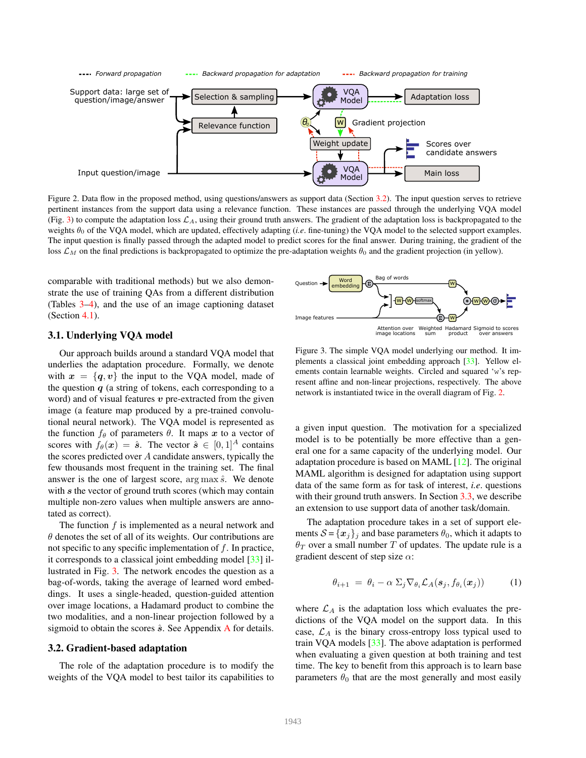

Figure 2. Data flow in the proposed method, using questions/answers as support data (Section 3.2). The input question serves to retrieve pertinent instances from the support data using a relevance function. These instances are passed through the underlying VQA model (Fig. 3) to compute the adaptation loss  $\mathcal{L}_A$ , using their ground truth answers. The gradient of the adaptation loss is backpropagated to the weights θ<sub>0</sub> of the VQA model, which are updated, effectively adapting (*i.e.* fine-tuning) the VQA model to the selected support examples. The input question is finally passed through the adapted model to predict scores for the final answer. During training, the gradient of the loss  $\mathcal{L}_M$  on the final predictions is backpropagated to optimize the pre-adaptation weights  $\theta_0$  and the gradient projection (in yellow).

comparable with traditional methods) but we also demonstrate the use of training QAs from a different distribution (Tables 3–4), and the use of an image captioning dataset (Section 4.1).

## 3.1. Underlying VQA model

Our approach builds around a standard VQA model that underlies the adaptation procedure. Formally, we denote with  $x = \{q, v\}$  the input to the VOA model, made of the question  $q$  (a string of tokens, each corresponding to a word) and of visual features  $v$  pre-extracted from the given image (a feature map produced by a pre-trained convolutional neural network). The VQA model is represented as the function  $f_{\theta}$  of parameters  $\theta$ . It maps x to a vector of scores with  $f_{\theta}(\boldsymbol{x}) = \hat{\boldsymbol{s}}$ . The vector  $\hat{\boldsymbol{s}} \in [0,1]^A$  contains the scores predicted over  $A$  candidate answers, typically the few thousands most frequent in the training set. The final answer is the one of largest score,  $\arg \max \hat{s}$ . We denote with s the vector of ground truth scores (which may contain multiple non-zero values when multiple answers are annotated as correct).

The function  $f$  is implemented as a neural network and  $\theta$  denotes the set of all of its weights. Our contributions are not specific to any specific implementation of  $f$ . In practice, it corresponds to a classical joint embedding model [33] illustrated in Fig. 3. The network encodes the question as a bag-of-words, taking the average of learned word embeddings. It uses a single-headed, question-guided attention over image locations, a Hadamard product to combine the two modalities, and a non-linear projection followed by a sigmoid to obtain the scores  $\hat{s}$ . See Appendix A for details.

#### 3.2. Gradient-based adaptation

The role of the adaptation procedure is to modify the weights of the VQA model to best tailor its capabilities to



Figure 3. The simple VQA model underlying our method. It implements a classical joint embedding approach [33]. Yellow elements contain learnable weights. Circled and squared 'w's represent affine and non-linear projections, respectively. The above network is instantiated twice in the overall diagram of Fig. 2.

a given input question. The motivation for a specialized model is to be potentially be more effective than a general one for a same capacity of the underlying model. Our adaptation procedure is based on MAML [12]. The original MAML algorithm is designed for adaptation using support data of the same form as for task of interest, *i.e*. questions with their ground truth answers. In Section 3.3, we describe an extension to use support data of another task/domain.

The adaptation procedure takes in a set of support elements  $S = \{x_j\}_j$  and base parameters  $\theta_0$ , which it adapts to  $\theta_T$  over a small number T of updates. The update rule is a gradient descent of step size  $\alpha$ :

$$
\theta_{i+1} = \theta_i - \alpha \sum_j \nabla_{\theta_i} \mathcal{L}_A(\mathbf{s}_j, f_{\theta_i}(\mathbf{x}_j)) \tag{1}
$$

where  $\mathcal{L}_A$  is the adaptation loss which evaluates the predictions of the VQA model on the support data. In this case,  $\mathcal{L}_A$  is the binary cross-entropy loss typical used to train VQA models [33]. The above adaptation is performed when evaluating a given question at both training and test time. The key to benefit from this approach is to learn base parameters  $\theta_0$  that are the most generally and most easily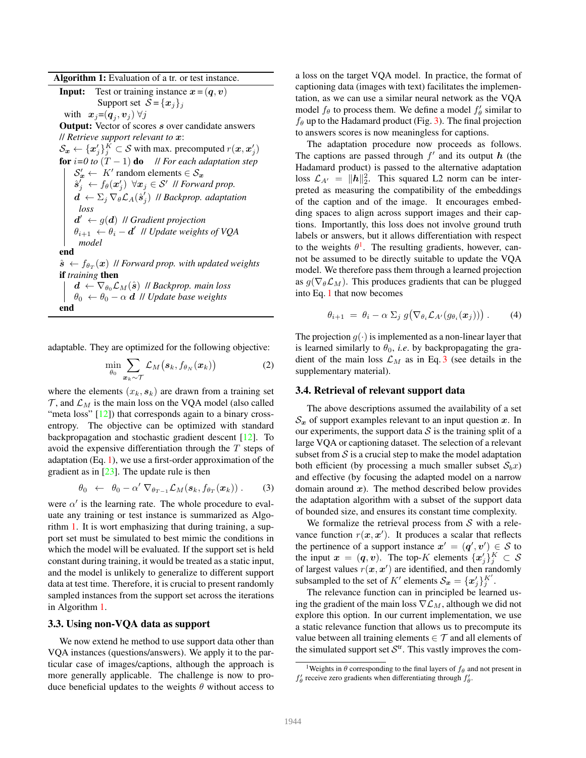Algorithm 1: Evaluation of a tr. or test instance.

**Input:** Test or training instance  $x = (q, v)$ Support set  $S = \{x_j\}_j$ with  $\mathbf{x}_j = (\mathbf{q}_j, \mathbf{v}_j) \ \forall j$ **Output:** Vector of scores s over candidate answers // *Retrieve support relevant to* x:  $\mathcal{S}_{\bm{x}} \leftarrow {\{\bm{x}_j'\}_{j}^{K}} \subset \mathcal{S}$  with max. precomputed  $r(\bm{x}, \bm{x}_j')$ for  $i=0$  to  $(T-1)$  do *// For each adaptation step*  $\mathcal{S}'_{x} \leftarrow K'$  random elements  $\in \mathcal{S}_{x}$  $\hat{\boldsymbol{s}}^{\mu}_j \leftarrow f_{\theta}(\boldsymbol{x}^{\mu}_j) \enskip \forall \boldsymbol{x}_j \in \mathcal{S}^{\prime} \enskip \text{\textit{ii} Forward prop.}$  $\boldsymbol{d^{'}} \leftarrow \Sigma_j \, \nabla_{\theta} \mathcal{L}_{A}(\hat{\boldsymbol{s}}_{j'}^{'})$ j ) // *Backprop. adaptation loss*  $d' \leftarrow g(d)$  *// Gradient projection*  $\theta_{i+1} \leftarrow \theta_i - d'$  *|| Update weights of VQA model* end  $\hat{\boldsymbol{s}} \, \leftarrow f_{\theta_T}(\boldsymbol{x}) \,$  // Forward prop. with updated weights if *training* then  $\mathbf{d} \leftarrow \nabla_{\theta_0} \mathcal{L}_M(\hat{\mathbf{s}})$  // *Backprop. main loss*  $\theta_0 \leftarrow \theta_0 - \alpha \, d$  *II Update base weights* end

adaptable. They are optimized for the following objective:

$$
\min_{\theta_0} \sum_{\boldsymbol{x}_k \sim \mathcal{T}} \mathcal{L}_M\big(\boldsymbol{s}_k, f_{\theta_N}(\boldsymbol{x}_k)\big) \tag{2}
$$

where the elements  $(x_k, s_k)$  are drawn from a training set  $\mathcal{T}$ , and  $\mathcal{L}_M$  is the main loss on the VQA model (also called "meta loss" [12]) that corresponds again to a binary crossentropy. The objective can be optimized with standard backpropagation and stochastic gradient descent [12]. To avoid the expensive differentiation through the T steps of adaptation (Eq. 1), we use a first-order approximation of the gradient as in  $[23]$ . The update rule is then

$$
\theta_0 \leftarrow \theta_0 - \alpha' \nabla_{\theta_{T-1}} \mathcal{L}_M(\boldsymbol{s}_k, f_{\theta_T}(\boldsymbol{x}_k)) . \qquad (3)
$$

were  $\alpha'$  is the learning rate. The whole procedure to evaluate any training or test instance is summarized as Algorithm 1. It is wort emphasizing that during training, a support set must be simulated to best mimic the conditions in which the model will be evaluated. If the support set is held constant during training, it would be treated as a static input, and the model is unlikely to generalize to different support data at test time. Therefore, it is crucial to present randomly sampled instances from the support set across the iterations in Algorithm 1.

#### 3.3. Using non-VQA data as support

We now extend he method to use support data other than VQA instances (questions/answers). We apply it to the particular case of images/captions, although the approach is more generally applicable. The challenge is now to produce beneficial updates to the weights  $\theta$  without access to a loss on the target VQA model. In practice, the format of captioning data (images with text) facilitates the implementation, as we can use a similar neural network as the VQA model  $f_{\theta}$  to process them. We define a model  $f'_{\theta}$  similar to  $f_{\theta}$  up to the Hadamard product (Fig. 3). The final projection to answers scores is now meaningless for captions.

The adaptation procedure now proceeds as follows. The captions are passed through  $f'$  and its output  $h$  (the Hadamard product) is passed to the alternative adaptation loss  $\mathcal{L}_{A'} = ||h||_2^2$ . This squared L2 norm can be interpreted as measuring the compatibility of the embeddings of the caption and of the image. It encourages embedding spaces to align across support images and their captions. Importantly, this loss does not involve ground truth labels or answers, but it allows differentiation with respect to the weights  $\theta^1$ . The resulting gradients, however, cannot be assumed to be directly suitable to update the VQA model. We therefore pass them through a learned projection as  $g(\nabla_{\theta} \mathcal{L}_M)$ . This produces gradients that can be plugged into Eq. 1 that now becomes

$$
\theta_{i+1} = \theta_i - \alpha \sum_j g(\nabla_{\theta_i} \mathcal{L}_{A'}(g_{\theta_i}(\boldsymbol{x}_j))) \,. \tag{4}
$$

The projection  $g(\cdot)$  is implemented as a non-linear layer that is learned similarly to  $\theta_0$ , *i.e.* by backpropagating the gradient of the main loss  $\mathcal{L}_M$  as in Eq. 3 (see details in the supplementary material).

#### 3.4. Retrieval of relevant support data

The above descriptions assumed the availability of a set  $\mathcal{S}_x$  of support examples relevant to an input question x. In our experiments, the support data  $S$  is the training split of a large VQA or captioning dataset. The selection of a relevant subset from  $S$  is a crucial step to make the model adaptation both efficient (by processing a much smaller subset  $S_bx$ ) and effective (by focusing the adapted model on a narrow domain around  $x$ ). The method described below provides the adaptation algorithm with a subset of the support data of bounded size, and ensures its constant time complexity.

We formalize the retrieval process from  $S$  with a relevance function  $r(x, x')$ . It produces a scalar that reflects the pertinence of a support instance  $x' = (q', v') \in S$  to the input  $x = (q, v)$ . The top-K elements  $\{x'_j\}_j^K \subset S$ of largest values  $r(x, x')$  are identified, and then randomly subsampled to the set of K' elements  $S_x = \{x'_j\}_{j=1}^{K'}$ .

The relevance function can in principled be learned using the gradient of the main loss  $\nabla \mathcal{L}_M$ , although we did not explore this option. In our current implementation, we use a static relevance function that allows us to precompute its value between all training elements  $\in \mathcal{T}$  and all elements of the simulated support set  $\mathcal{S}^{tr}$ . This vastly improves the com-

<sup>&</sup>lt;sup>1</sup>Weights in  $\theta$  corresponding to the final layers of  $f_{\theta}$  and not present in  $f'_{\theta}$  receive zero gradients when differentiating through  $f'_{\theta}$ .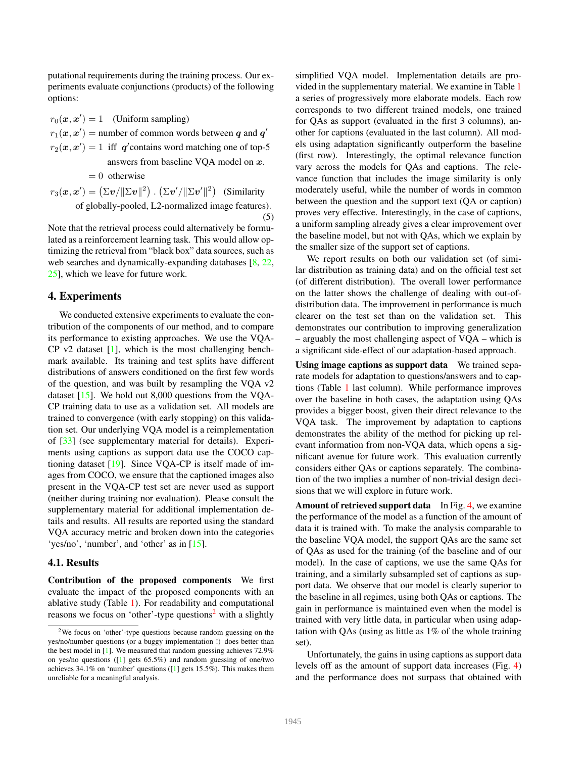putational requirements during the training process. Our experiments evaluate conjunctions (products) of the following options:

 $r_0(\mathbf{x}, \mathbf{x}') = 1$  (Uniform sampling)  $r_1(\mathbf{x}, \mathbf{x}')$  = number of common words between  $q$  and  $q'$  $r_2(x, x') = 1$  iff q'contains word matching one of top-5 answers from baseline VQA model on  $x$ .  $= 0$  otherwise  $r_3(\bm{x},\bm{x}')=\left(\Sigma \bm{v}/\|\Sigma \bm{v}\|^2\right)$  .  $\left(\Sigma \bm{v}'/\|\Sigma \bm{v}'\|^2\right)$  (Similarity of globally-pooled, L2-normalized image features).

(5)

Note that the retrieval process could alternatively be formulated as a reinforcement learning task. This would allow optimizing the retrieval from "black box" data sources, such as web searches and dynamically-expanding databases [8, 22, 25], which we leave for future work.

#### 4. Experiments

We conducted extensive experiments to evaluate the contribution of the components of our method, and to compare its performance to existing approaches. We use the VQA- $CP$  v2 dataset  $[1]$ , which is the most challenging benchmark available. Its training and test splits have different distributions of answers conditioned on the first few words of the question, and was built by resampling the VQA v2 dataset  $[15]$ . We hold out 8,000 questions from the VQA-CP training data to use as a validation set. All models are trained to convergence (with early stopping) on this validation set. Our underlying VQA model is a reimplementation of [33] (see supplementary material for details). Experiments using captions as support data use the COCO captioning dataset [19]. Since VQA-CP is itself made of images from COCO, we ensure that the captioned images also present in the VQA-CP test set are never used as support (neither during training nor evaluation). Please consult the supplementary material for additional implementation details and results. All results are reported using the standard VQA accuracy metric and broken down into the categories 'yes/no', 'number', and 'other' as in [15].

#### 4.1. Results

Contribution of the proposed components We first evaluate the impact of the proposed components with an ablative study (Table 1). For readability and computational reasons we focus on 'other'-type questions<sup>2</sup> with a slightly

simplified VQA model. Implementation details are provided in the supplementary material. We examine in Table 1 a series of progressively more elaborate models. Each row corresponds to two different trained models, one trained for QAs as support (evaluated in the first 3 columns), another for captions (evaluated in the last column). All models using adaptation significantly outperform the baseline (first row). Interestingly, the optimal relevance function vary across the models for QAs and captions. The relevance function that includes the image similarity is only moderately useful, while the number of words in common between the question and the support text (QA or caption) proves very effective. Interestingly, in the case of captions, a uniform sampling already gives a clear improvement over the baseline model, but not with QAs, which we explain by the smaller size of the support set of captions.

We report results on both our validation set (of similar distribution as training data) and on the official test set (of different distribution). The overall lower performance on the latter shows the challenge of dealing with out-ofdistribution data. The improvement in performance is much clearer on the test set than on the validation set. This demonstrates our contribution to improving generalization – arguably the most challenging aspect of VQA – which is a significant side-effect of our adaptation-based approach.

Using image captions as support data We trained separate models for adaptation to questions/answers and to captions (Table 1 last column). While performance improves over the baseline in both cases, the adaptation using QAs provides a bigger boost, given their direct relevance to the VQA task. The improvement by adaptation to captions demonstrates the ability of the method for picking up relevant information from non-VQA data, which opens a significant avenue for future work. This evaluation currently considers either QAs or captions separately. The combination of the two implies a number of non-trivial design decisions that we will explore in future work.

Amount of retrieved support data In Fig. 4, we examine the performance of the model as a function of the amount of data it is trained with. To make the analysis comparable to the baseline VQA model, the support QAs are the same set of QAs as used for the training (of the baseline and of our model). In the case of captions, we use the same QAs for training, and a similarly subsampled set of captions as support data. We observe that our model is clearly superior to the baseline in all regimes, using both QAs or captions. The gain in performance is maintained even when the model is trained with very little data, in particular when using adaptation with QAs (using as little as 1% of the whole training set).

Unfortunately, the gains in using captions as support data levels off as the amount of support data increases (Fig. 4) and the performance does not surpass that obtained with

<sup>2</sup>We focus on 'other'-type questions because random guessing on the yes/no/number questions (or a buggy implementation !) does better than the best model in [1]. We measured that random guessing achieves 72.9% on yes/no questions ([1] gets 65.5%) and random guessing of one/two achieves 34.1% on 'number' questions ([1] gets 15.5%). This makes them unreliable for a meaningful analysis.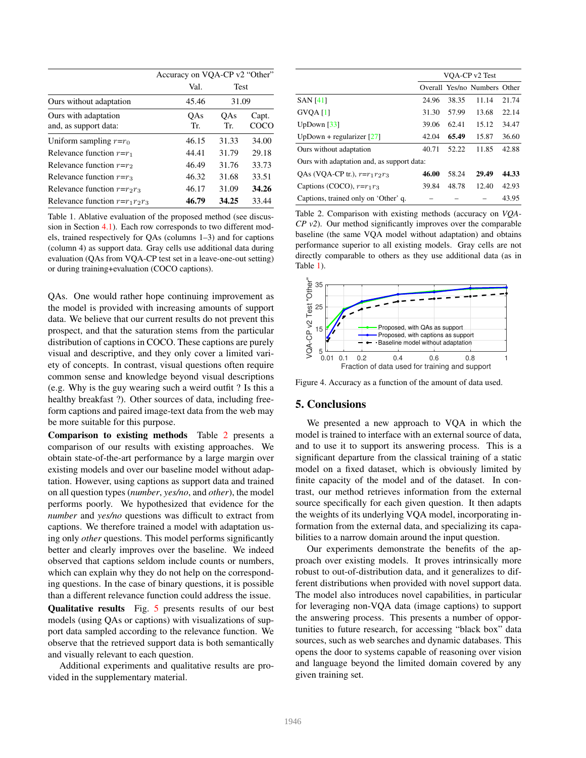|                                               | Accuracy on VQA-CP v2 "Other" |               |               |  |
|-----------------------------------------------|-------------------------------|---------------|---------------|--|
|                                               | Val.                          | Test<br>31.09 |               |  |
| Ours without adaptation                       | 45.46                         |               |               |  |
| Ours with adaptation<br>and, as support data: | OAs<br>Tr.                    | OAs<br>Tr.    | Capt.<br>COCO |  |
| Uniform sampling $r=r_0$                      | 46.15                         | 31.33         | 34.00         |  |
| Relevance function $r=r_1$                    | 44.41                         | 31.79         | 29.18         |  |
| Relevance function $r=r_2$                    | 46.49                         | 31.76         | 33.73         |  |
| Relevance function $r=r_3$                    | 46.32                         | 31.68         | 33.51         |  |
| Relevance function $r=r_2r_3$                 | 46.17                         | 31.09         | 34.26         |  |
| Relevance function $r=r_1r_2r_3$              | 46.79                         | 34.25         | 33.44         |  |

Table 1. Ablative evaluation of the proposed method (see discussion in Section 4.1). Each row corresponds to two different models, trained respectively for QAs (columns 1–3) and for captions (column 4) as support data. Gray cells use additional data during evaluation (QAs from VQA-CP test set in a leave-one-out setting) or during training+evaluation (COCO captions).

QAs. One would rather hope continuing improvement as the model is provided with increasing amounts of support data. We believe that our current results do not prevent this prospect, and that the saturation stems from the particular distribution of captions in COCO. These captions are purely visual and descriptive, and they only cover a limited variety of concepts. In contrast, visual questions often require common sense and knowledge beyond visual descriptions (e.g. Why is the guy wearing such a weird outfit ? Is this a healthy breakfast ?). Other sources of data, including freeform captions and paired image-text data from the web may be more suitable for this purpose.

Comparison to existing methods Table 2 presents a comparison of our results with existing approaches. We obtain state-of-the-art performance by a large margin over existing models and over our baseline model without adaptation. However, using captions as support data and trained on all question types (*number*, *yes/no*, and *other*), the model performs poorly. We hypothesized that evidence for the *number* and *yes/no* questions was difficult to extract from captions. We therefore trained a model with adaptation using only *other* questions. This model performs significantly better and clearly improves over the baseline. We indeed observed that captions seldom include counts or numbers, which can explain why they do not help on the corresponding questions. In the case of binary questions, it is possible than a different relevance function could address the issue.

Qualitative results Fig. 5 presents results of our best models (using QAs or captions) with visualizations of support data sampled according to the relevance function. We observe that the retrieved support data is both semantically and visually relevant to each question.

Additional experiments and qualitative results are provided in the supplementary material.

|                                            | VOA-CP v2 Test |       |                              |       |  |
|--------------------------------------------|----------------|-------|------------------------------|-------|--|
|                                            |                |       | Overall Yes/no Numbers Other |       |  |
| <b>SAN</b> [41]                            | 24.96          | 38.35 | 11.14                        | 21.74 |  |
| GVQA[1]                                    | 31.30          | 57.99 | 13.68                        | 22.14 |  |
| UpDown $\lceil 33 \rceil$                  | 39.06          | 62.41 | 15.12                        | 34.47 |  |
| UpDown + regularizer $[27]$                | 42.04          | 65.49 | 15.87                        | 36.60 |  |
| Ours without adaptation                    | 40.71          | 52.22 | 11.85                        | 42.88 |  |
| Ours with adaptation and, as support data: |                |       |                              |       |  |
| OAs (VOA-CP tr.), $r=r_1r_2r_3$            | 46.00          | 58.24 | 29.49                        | 44.33 |  |
| Captions (COCO), $r=r_1r_3$                | 39.84          | 48.78 | 12.40                        | 42.93 |  |
| Captions, trained only on 'Other' q.       |                |       |                              | 43.95 |  |

Table 2. Comparison with existing methods (accuracy on *VQA-CP v2*). Our method significantly improves over the comparable baseline (the same VQA model without adaptation) and obtains performance superior to all existing models. Gray cells are not directly comparable to others as they use additional data (as in Table 1).



Figure 4. Accuracy as a function of the amount of data used.

#### 5. Conclusions

We presented a new approach to VQA in which the model is trained to interface with an external source of data, and to use it to support its answering process. This is a significant departure from the classical training of a static model on a fixed dataset, which is obviously limited by finite capacity of the model and of the dataset. In contrast, our method retrieves information from the external source specifically for each given question. It then adapts the weights of its underlying VQA model, incorporating information from the external data, and specializing its capabilities to a narrow domain around the input question.

Our experiments demonstrate the benefits of the approach over existing models. It proves intrinsically more robust to out-of-distribution data, and it generalizes to different distributions when provided with novel support data. The model also introduces novel capabilities, in particular for leveraging non-VQA data (image captions) to support the answering process. This presents a number of opportunities to future research, for accessing "black box" data sources, such as web searches and dynamic databases. This opens the door to systems capable of reasoning over vision and language beyond the limited domain covered by any given training set.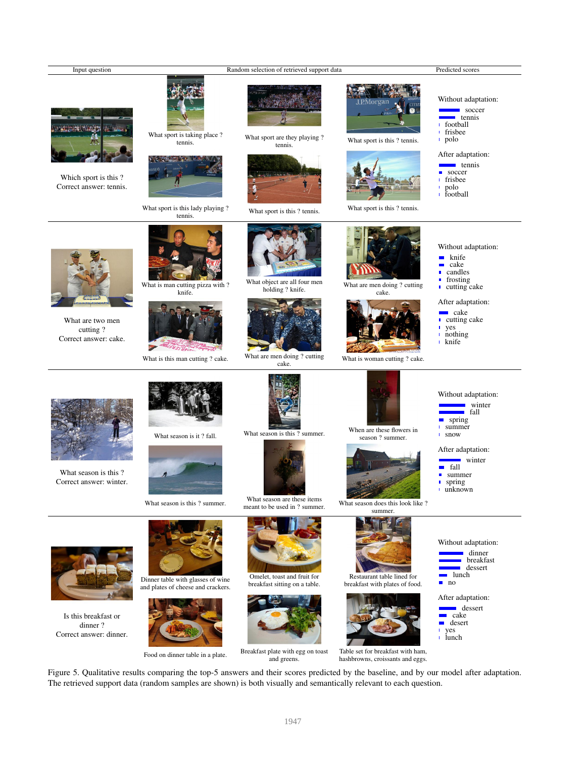

Figure 5. Qualitative results comparing the top-5 answers and their scores predicted by the baseline, and by our model after adaptation. The retrieved support data (random samples are shown) is both visually and semantically relevant to each question.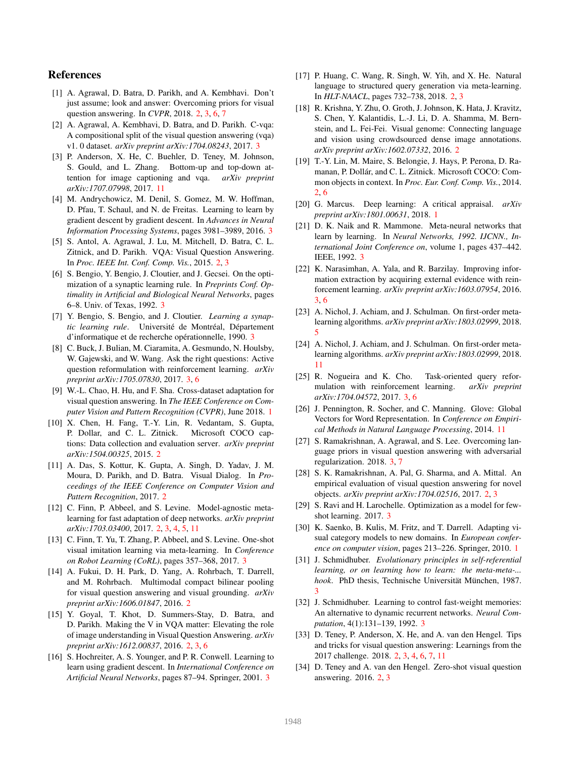#### References

- [1] A. Agrawal, D. Batra, D. Parikh, and A. Kembhavi. Don't just assume; look and answer: Overcoming priors for visual question answering. In *CVPR*, 2018. 2, 3, 6, 7
- [2] A. Agrawal, A. Kembhavi, D. Batra, and D. Parikh. C-vqa: A compositional split of the visual question answering (vqa) v1. 0 dataset. *arXiv preprint arXiv:1704.08243*, 2017. 3
- [3] P. Anderson, X. He, C. Buehler, D. Teney, M. Johnson, S. Gould, and L. Zhang. Bottom-up and top-down attention for image captioning and vqa. *arXiv preprint arXiv:1707.07998*, 2017. 11
- [4] M. Andrychowicz, M. Denil, S. Gomez, M. W. Hoffman, D. Pfau, T. Schaul, and N. de Freitas. Learning to learn by gradient descent by gradient descent. In *Advances in Neural Information Processing Systems*, pages 3981–3989, 2016. 3
- [5] S. Antol, A. Agrawal, J. Lu, M. Mitchell, D. Batra, C. L. Zitnick, and D. Parikh. VQA: Visual Question Answering. In *Proc. IEEE Int. Conf. Comp. Vis.*, 2015. 2, 3
- [6] S. Bengio, Y. Bengio, J. Cloutier, and J. Gecsei. On the optimization of a synaptic learning rule. In *Preprints Conf. Optimality in Artificial and Biological Neural Networks*, pages 6–8. Univ. of Texas, 1992. 3
- [7] Y. Bengio, S. Bengio, and J. Cloutier. *Learning a synaptic learning rule*. Université de Montréal, Département d'informatique et de recherche opérationnelle, 1990. 3
- [8] C. Buck, J. Bulian, M. Ciaramita, A. Gesmundo, N. Houlsby, W. Gajewski, and W. Wang. Ask the right questions: Active question reformulation with reinforcement learning. *arXiv preprint arXiv:1705.07830*, 2017. 3, 6
- [9] W.-L. Chao, H. Hu, and F. Sha. Cross-dataset adaptation for visual question answering. In *The IEEE Conference on Computer Vision and Pattern Recognition (CVPR)*, June 2018. 1
- [10] X. Chen, H. Fang, T.-Y. Lin, R. Vedantam, S. Gupta, P. Dollar, and C. L. Zitnick. Microsoft COCO captions: Data collection and evaluation server. *arXiv preprint arXiv:1504.00325*, 2015. 2
- [11] A. Das, S. Kottur, K. Gupta, A. Singh, D. Yadav, J. M. Moura, D. Parikh, and D. Batra. Visual Dialog. In *Proceedings of the IEEE Conference on Computer Vision and Pattern Recognition*, 2017. 2
- [12] C. Finn, P. Abbeel, and S. Levine. Model-agnostic metalearning for fast adaptation of deep networks. *arXiv preprint arXiv:1703.03400*, 2017. 2, 3, 4, 5, 11
- [13] C. Finn, T. Yu, T. Zhang, P. Abbeel, and S. Levine. One-shot visual imitation learning via meta-learning. In *Conference on Robot Learning (CoRL)*, pages 357–368, 2017. 3
- [14] A. Fukui, D. H. Park, D. Yang, A. Rohrbach, T. Darrell, and M. Rohrbach. Multimodal compact bilinear pooling for visual question answering and visual grounding. *arXiv preprint arXiv:1606.01847*, 2016. 2
- [15] Y. Goyal, T. Khot, D. Summers-Stay, D. Batra, and D. Parikh. Making the V in VQA matter: Elevating the role of image understanding in Visual Question Answering. *arXiv preprint arXiv:1612.00837*, 2016. 2, 3, 6
- [16] S. Hochreiter, A. S. Younger, and P. R. Conwell. Learning to learn using gradient descent. In *International Conference on Artificial Neural Networks*, pages 87–94. Springer, 2001. 3
- [17] P. Huang, C. Wang, R. Singh, W. Yih, and X. He. Natural language to structured query generation via meta-learning. In *HLT-NAACL*, pages 732–738, 2018. 2, 3
- [18] R. Krishna, Y. Zhu, O. Groth, J. Johnson, K. Hata, J. Kravitz, S. Chen, Y. Kalantidis, L.-J. Li, D. A. Shamma, M. Bernstein, and L. Fei-Fei. Visual genome: Connecting language and vision using crowdsourced dense image annotations. *arXiv preprint arXiv:1602.07332*, 2016. 2
- [19] T.-Y. Lin, M. Maire, S. Belongie, J. Hays, P. Perona, D. Ramanan, P. Dollár, and C. L. Zitnick. Microsoft COCO: Common objects in context. In *Proc. Eur. Conf. Comp. Vis.*, 2014. 2, 6
- [20] G. Marcus. Deep learning: A critical appraisal. *arXiv preprint arXiv:1801.00631*, 2018. 1
- [21] D. K. Naik and R. Mammone. Meta-neural networks that learn by learning. In *Neural Networks, 1992. IJCNN., International Joint Conference on*, volume 1, pages 437–442. IEEE, 1992. 3
- [22] K. Narasimhan, A. Yala, and R. Barzilay. Improving information extraction by acquiring external evidence with reinforcement learning. *arXiv preprint arXiv:1603.07954*, 2016. 3, 6
- [23] A. Nichol, J. Achiam, and J. Schulman. On first-order metalearning algorithms. *arXiv preprint arXiv:1803.02999*, 2018. 5
- [24] A. Nichol, J. Achiam, and J. Schulman. On first-order metalearning algorithms. *arXiv preprint arXiv:1803.02999*, 2018. 11
- [25] R. Nogueira and K. Cho. Task-oriented query reformulation with reinforcement learning. *arXiv preprint arXiv:1704.04572*, 2017. 3, 6
- [26] J. Pennington, R. Socher, and C. Manning. Glove: Global Vectors for Word Representation. In *Conference on Empirical Methods in Natural Language Processing*, 2014. 11
- [27] S. Ramakrishnan, A. Agrawal, and S. Lee. Overcoming language priors in visual question answering with adversarial regularization. 2018. 3, 7
- [28] S. K. Ramakrishnan, A. Pal, G. Sharma, and A. Mittal. An empirical evaluation of visual question answering for novel objects. *arXiv preprint arXiv:1704.02516*, 2017. 2, 3
- [29] S. Ravi and H. Larochelle. Optimization as a model for fewshot learning. 2017. 3
- [30] K. Saenko, B. Kulis, M. Fritz, and T. Darrell. Adapting visual category models to new domains. In *European conference on computer vision*, pages 213–226. Springer, 2010. 1
- [31] J. Schmidhuber. *Evolutionary principles in self-referential learning, or on learning how to learn: the meta-meta-... hook*. PhD thesis, Technische Universität München, 1987. 3
- [32] J. Schmidhuber. Learning to control fast-weight memories: An alternative to dynamic recurrent networks. *Neural Computation*, 4(1):131–139, 1992. 3
- [33] D. Teney, P. Anderson, X. He, and A. van den Hengel. Tips and tricks for visual question answering: Learnings from the 2017 challenge. 2018. 2, 3, 4, 6, 7, 11
- [34] D. Teney and A. van den Hengel. Zero-shot visual question answering. 2016. 2, 3